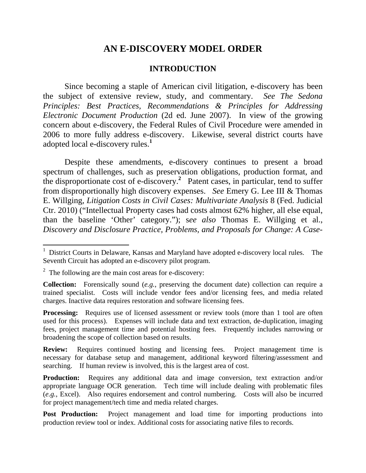# **AN E-DISCOVERY MODEL ORDER**

### **INTRODUCTION**

Since becoming a staple of American civil litigation, e-discovery has been the subject of extensive review, study, and commentary. *See The Sedona Principles: Best Practices, Recommendations & Principles for Addressing Electronic Document Production* (2d ed. June 2007). In view of the growing concern about e-discovery, the Federal Rules of Civil Procedure were amended in 2006 to more fully address e-discovery. Likewise, several district courts have adopted local e-discovery rules.**<sup>1</sup>**

Despite these amendments, e-discovery continues to present a broad spectrum of challenges, such as preservation obligations, production format, and the disproportionate cost of e-discovery.**<sup>2</sup>** Patent cases, in particular, tend to suffer from disproportionally high discovery expenses. *See* Emery G. Lee III & Thomas E. Willging, *Litigation Costs in Civil Cases: Multivariate Analysis* 8 (Fed. Judicial Ctr. 2010) ("Intellectual Property cases had costs almost 62% higher, all else equal, than the baseline 'Other' category."); s*ee also* Thomas E. Willging et al., *Discovery and Disclosure Practice, Problems, and Proposals for Change: A Case-*

 $\overline{a}$ 

<sup>&</sup>lt;sup>1</sup> District Courts in Delaware, Kansas and Maryland have adopted e-discovery local rules. The Seventh Circuit has adopted an e-discovery pilot program.

 $2^2$  The following are the main cost areas for e-discovery:

**Collection:** Forensically sound (*e.g.*, preserving the document date) collection can require a trained specialist. Costs will include vendor fees and/or licensing fees, and media related charges. Inactive data requires restoration and software licensing fees.

**Processing:** Requires use of licensed assessment or review tools (more than 1 tool are often used for this process). Expenses will include data and text extraction, de-duplication, imaging fees, project management time and potential hosting fees. Frequently includes narrowing or broadening the scope of collection based on results.

**Review:** Requires continued hosting and licensing fees. Project management time is necessary for database setup and management, additional keyword filtering/assessment and searching. If human review is involved, this is the largest area of cost.

**Production:** Requires any additional data and image conversion, text extraction and/or appropriate language OCR generation. Tech time will include dealing with problematic files (*e.g.*, Excel). Also requires endorsement and control numbering. Costs will also be incurred for project management/tech time and media related charges.

**Post Production:** Project management and load time for importing productions into production review tool or index. Additional costs for associating native files to records.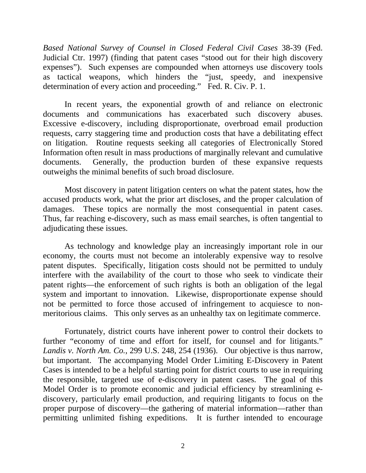*Based National Survey of Counsel in Closed Federal Civil Cases* 38-39 (Fed. Judicial Ctr. 1997) (finding that patent cases "stood out for their high discovery expenses"). Such expenses are compounded when attorneys use discovery tools as tactical weapons, which hinders the "just, speedy, and inexpensive determination of every action and proceeding." Fed. R. Civ. P. 1.

In recent years, the exponential growth of and reliance on electronic documents and communications has exacerbated such discovery abuses. Excessive e-discovery, including disproportionate, overbroad email production requests, carry staggering time and production costs that have a debilitating effect on litigation. Routine requests seeking all categories of Electronically Stored Information often result in mass productions of marginally relevant and cumulative documents. Generally, the production burden of these expansive requests outweighs the minimal benefits of such broad disclosure.

Most discovery in patent litigation centers on what the patent states, how the accused products work, what the prior art discloses, and the proper calculation of damages. These topics are normally the most consequential in patent cases. Thus, far reaching e-discovery, such as mass email searches, is often tangential to adjudicating these issues.

As technology and knowledge play an increasingly important role in our economy, the courts must not become an intolerably expensive way to resolve patent disputes. Specifically, litigation costs should not be permitted to unduly interfere with the availability of the court to those who seek to vindicate their patent rights—the enforcement of such rights is both an obligation of the legal system and important to innovation. Likewise, disproportionate expense should not be permitted to force those accused of infringement to acquiesce to nonmeritorious claims. This only serves as an unhealthy tax on legitimate commerce.

Fortunately, district courts have inherent power to control their dockets to further "economy of time and effort for itself, for counsel and for litigants." *Landis v. North Am. Co.*, 299 U.S. 248, 254 (1936). Our objective is thus narrow, but important. The accompanying Model Order Limiting E-Discovery in Patent Cases is intended to be a helpful starting point for district courts to use in requiring the responsible, targeted use of e-discovery in patent cases. The goal of this Model Order is to promote economic and judicial efficiency by streamlining ediscovery, particularly email production, and requiring litigants to focus on the proper purpose of discovery—the gathering of material information—rather than permitting unlimited fishing expeditions. It is further intended to encourage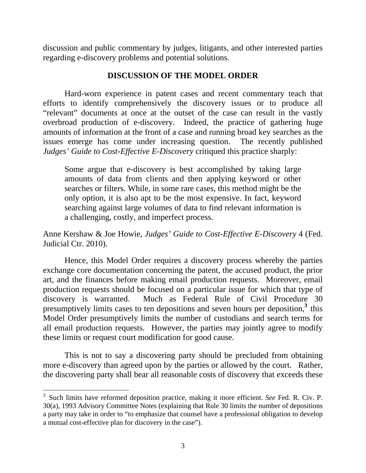discussion and public commentary by judges, litigants, and other interested parties regarding e-discovery problems and potential solutions.

#### **DISCUSSION OF THE MODEL ORDER**

Hard-worn experience in patent cases and recent commentary teach that efforts to identify comprehensively the discovery issues or to produce all "relevant" documents at once at the outset of the case can result in the vastly overbroad production of e-discovery. Indeed, the practice of gathering huge amounts of information at the front of a case and running broad key searches as the issues emerge has come under increasing question. The recently published *Judges' Guide to Cost-Effective E-Discovery* critiqued this practice sharply:

Some argue that e-discovery is best accomplished by taking large amounts of data from clients and then applying keyword or other searches or filters. While, in some rare cases, this method might be the only option, it is also apt to be the most expensive. In fact, keyword searching against large volumes of data to find relevant information is a challenging, costly, and imperfect process.

Anne Kershaw & Joe Howie, *Judges' Guide to Cost-Effective E-Discovery* 4 (Fed. Judicial Ctr. 2010).

Hence, this Model Order requires a discovery process whereby the parties exchange core documentation concerning the patent, the accused product, the prior art, and the finances before making email production requests. Moreover, email production requests should be focused on a particular issue for which that type of discovery is warranted. Much as Federal Rule of Civil Procedure 30 presumptively limits cases to ten depositions and seven hours per deposition,**<sup>3</sup>** this Model Order presumptively limits the number of custodians and search terms for all email production requests. However, the parties may jointly agree to modify these limits or request court modification for good cause.

This is not to say a discovering party should be precluded from obtaining more e-discovery than agreed upon by the parties or allowed by the court. Rather, the discovering party shall bear all reasonable costs of discovery that exceeds these

 $\overline{a}$ 

<sup>3</sup> Such limits have reformed deposition practice, making it more efficient. *See* Fed. R. Civ. P. 30(a), 1993 Advisory Committee Notes (explaining that Rule 30 limits the number of depositions a party may take in order to "to emphasize that counsel have a professional obligation to develop a mutual cost-effective plan for discovery in the case").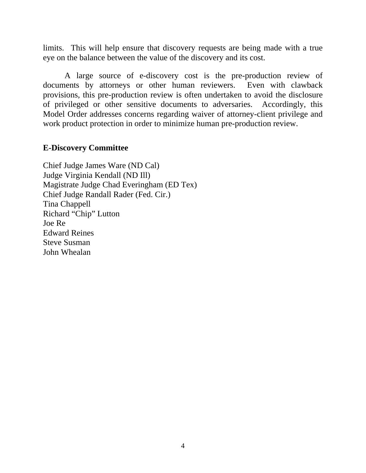limits. This will help ensure that discovery requests are being made with a true eye on the balance between the value of the discovery and its cost.

A large source of e-discovery cost is the pre-production review of documents by attorneys or other human reviewers. Even with clawback provisions, this pre-production review is often undertaken to avoid the disclosure of privileged or other sensitive documents to adversaries. Accordingly, this Model Order addresses concerns regarding waiver of attorney-client privilege and work product protection in order to minimize human pre-production review.

#### **E-Discovery Committee**

Chief Judge James Ware (ND Cal) Judge Virginia Kendall (ND Ill) Magistrate Judge Chad Everingham (ED Tex) Chief Judge Randall Rader (Fed. Cir.) Tina Chappell Richard "Chip" Lutton Joe Re Edward Reines Steve Susman John Whealan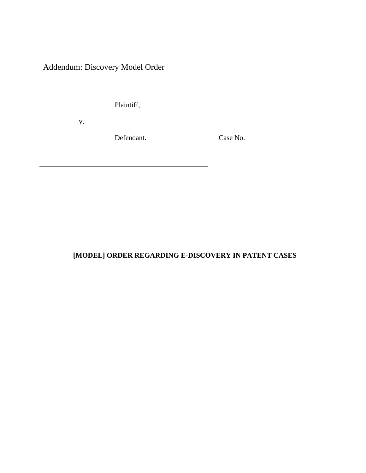Addendum: Discovery Model Order

Plaintiff,

v.

Defendant. Case No.

## **[MODEL] ORDER REGARDING E-DISCOVERY IN PATENT CASES**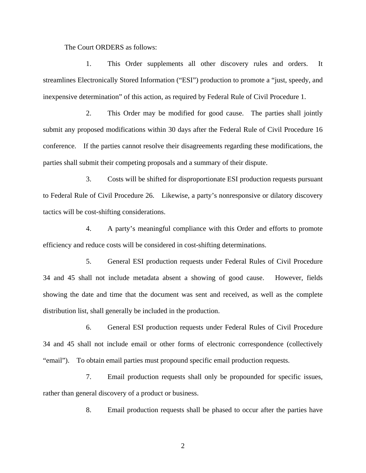The Court ORDERS as follows:

1. This Order supplements all other discovery rules and orders. It streamlines Electronically Stored Information ("ESI") production to promote a "just, speedy, and inexpensive determination" of this action, as required by Federal Rule of Civil Procedure 1.

2. This Order may be modified for good cause. The parties shall jointly submit any proposed modifications within 30 days after the Federal Rule of Civil Procedure 16 conference. If the parties cannot resolve their disagreements regarding these modifications, the parties shall submit their competing proposals and a summary of their dispute.

3. Costs will be shifted for disproportionate ESI production requests pursuant to Federal Rule of Civil Procedure 26. Likewise, a party's nonresponsive or dilatory discovery tactics will be cost-shifting considerations.

4. A party's meaningful compliance with this Order and efforts to promote efficiency and reduce costs will be considered in cost-shifting determinations.

5. General ESI production requests under Federal Rules of Civil Procedure 34 and 45 shall not include metadata absent a showing of good cause. However, fields showing the date and time that the document was sent and received, as well as the complete distribution list, shall generally be included in the production.

6. General ESI production requests under Federal Rules of Civil Procedure 34 and 45 shall not include email or other forms of electronic correspondence (collectively "email"). To obtain email parties must propound specific email production requests.

7. Email production requests shall only be propounded for specific issues, rather than general discovery of a product or business.

8. Email production requests shall be phased to occur after the parties have

2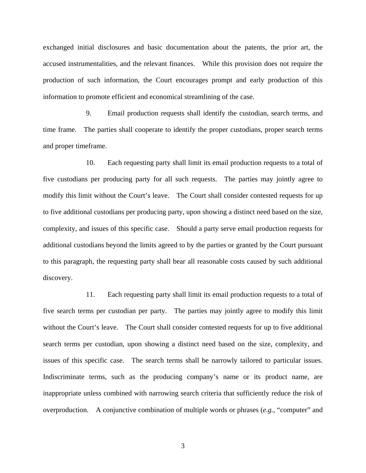exchanged initial disclosures and basic documentation about the patents, the prior art, the accused instrumentalities, and the relevant finances. While this provision does not require the production of such information, the Court encourages prompt and early production of this information to promote efficient and economical streamlining of the case.

9. Email production requests shall identify the custodian, search terms, and time frame. The parties shall cooperate to identify the proper custodians, proper search terms and proper timeframe.

10. Each requesting party shall limit its email production requests to a total of five custodians per producing party for all such requests. The parties may jointly agree to modify this limit without the Court's leave. The Court shall consider contested requests for up to five additional custodians per producing party, upon showing a distinct need based on the size, complexity, and issues of this specific case. Should a party serve email production requests for additional custodians beyond the limits agreed to by the parties or granted by the Court pursuant to this paragraph, the requesting party shall bear all reasonable costs caused by such additional discovery.

11. Each requesting party shall limit its email production requests to a total of five search terms per custodian per party. The parties may jointly agree to modify this limit without the Court's leave. The Court shall consider contested requests for up to five additional search terms per custodian, upon showing a distinct need based on the size, complexity, and issues of this specific case. The search terms shall be narrowly tailored to particular issues. Indiscriminate terms, such as the producing company's name or its product name, are inappropriate unless combined with narrowing search criteria that sufficiently reduce the risk of overproduction. A conjunctive combination of multiple words or phrases (*e.g.*, "computer" and

3